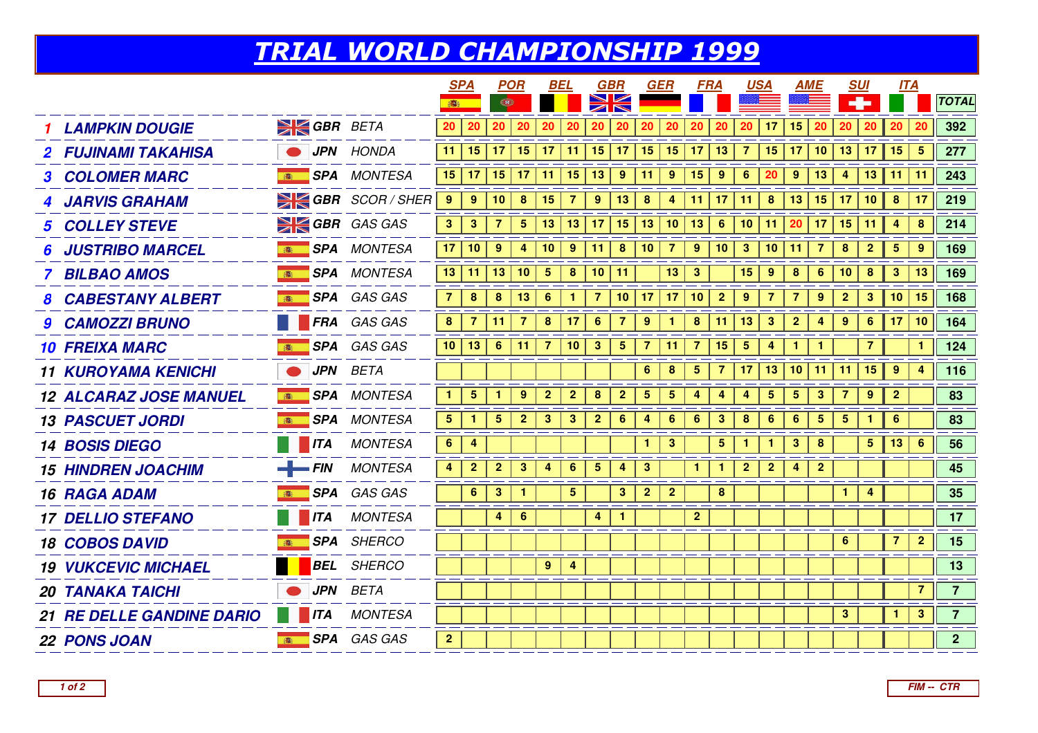## TRIAL WORLD CHAMPIONSHIP 1999

|                                  |                    |                             |                 | <b>SPA</b>              |                  | <b>POR</b>           |                 | BEL            |                  | <b>GBR</b>              |                         | GER              |                  | <b>FRA</b>              |                         | <u>USA</u>              |                         | AME                     |                 | <b>SUI</b>              | <b>ITA</b>     |                 |                 |
|----------------------------------|--------------------|-----------------------------|-----------------|-------------------------|------------------|----------------------|-----------------|----------------|------------------|-------------------------|-------------------------|------------------|------------------|-------------------------|-------------------------|-------------------------|-------------------------|-------------------------|-----------------|-------------------------|----------------|-----------------|-----------------|
|                                  |                    |                             | 181             |                         | Œ                |                      |                 |                |                  |                         |                         |                  |                  |                         |                         |                         |                         |                         |                 |                         |                |                 | <b>TOTAL</b>    |
| <b>LAMPKIN DOUGIE</b>            | <b>SK GBR</b> BETA |                             | 20 <sub>2</sub> | 20                      | 20               | 20                   | 20              | 20             | 20               | 20                      | 20                      | 20               | 20               | 20                      | 20                      | 17                      | 15                      | 20                      | 20              | 20                      | 20             | 20              | 392             |
| <b>2 FUJINAMI TAKAHISA</b>       |                    | JPN HONDA                   | 11              | 15                      |                  | $17$   15            | $\vert$ 17      | 11             | 15               | 17                      | 15                      | 15               | 17               | 13                      | 7                       | 15                      | 17                      | 10                      | 13              | 17                      | 15             | $5\overline{5}$ | 277             |
| <b>3 COLOMER MARC</b>            |                    | <b>SPA</b> MONTESA          | 15              | 17 <sup>1</sup>         |                  | $15$   17            | 11              | 15             | 13               | 9                       | 11                      | 9                | 15               | $\boldsymbol{9}$        | $6\phantom{1}$          | 20                      | $\boldsymbol{9}$        | 13                      | 4               | 13                      | 11             | $\vert$ 11      | 243             |
| <b>JARVIS GRAHAM</b>             |                    | $\geq$ GBR SCOR/SHER        | 9               | 9                       | 10               | $\boldsymbol{8}$     | 15              | 7              | $\boldsymbol{9}$ | 13                      | 8                       | $\overline{4}$   | 11               | 17                      | 11                      | $\boldsymbol{8}$        | 13                      | 15                      | 17              | 10                      | 8              | 17              | 219             |
| <b>5 COLLEY STEVE</b>            |                    | $\geq$ GBR GAS GAS          | 3 <sup>7</sup>  | 3 <sup>2</sup>          | $\overline{7}$   | $\sqrt{5}$           | 13              | 13             | 17               | 15                      | 13                      | 10               | 13               | $6\phantom{1}6$         | 10                      | 11                      | 20                      | 17                      | 15              | 11                      | 4              | 8               | 214             |
| <b>JUSTRIBO MARCEL</b>           |                    | <b>EXECUTE: SPA MONTESA</b> | 17              | 10                      | $9^{\circ}$      | $\overline{4}$       | 10 <sub>1</sub> | $9^{\circ}$    | 11               | 8                       | 10 <sub>1</sub>         | $\overline{7}$   | $\boldsymbol{9}$ | 10                      | $\mathbf{3}$            | 10                      | 11                      | $\overline{7}$          | 8               | $\overline{2}$          | $\overline{5}$ | 9               | 169             |
| <b>BILBAO AMOS</b>               |                    | <b>SPA MONTESA</b>          | 13              | 11                      | 13               | 10                   | $5\phantom{.0}$ | 8              | 10               | 11                      |                         | 13               | $\mathbf{3}$     |                         | 15                      | 9                       | 8                       | 6                       | 10              | 8                       | 3              | 13              | 169             |
| <b>8 CABESTANY ALBERT</b>        |                    | <b>SPA</b> GAS GAS          | $\mathbf{7}$    | 8                       | $\boldsymbol{8}$ | 13                   | 6               |                |                  | 10                      | 17                      | 17               | 10               | $\overline{\mathbf{2}}$ | 9                       | 7                       |                         | 9                       | $\mathbf{2}$    | $\mathbf{3}$            | 10             | 15              | 168             |
| <b>9 CAMOZZI BRUNO</b>           |                    | <b>FRA</b> GAS GAS          | 8 <sup>1</sup>  | $\overline{7}$          | 11 <sub>1</sub>  | -7                   | 8               | 17             | 6                | 7                       | 9                       |                  | $\boldsymbol{8}$ | 11                      | 13                      | 3                       | $\overline{2}$          | 4                       | 9               | $6^{\circ}$             | 17             | 10              | 164             |
| <b>10 FREIXA MARC</b>            |                    | <b>SPA</b> GAS GAS          | 10 <sup>1</sup> | 13                      | $6\phantom{1}6$  | 11                   | $\overline{7}$  | 10             | $\mathbf{3}$     | $\overline{\mathbf{5}}$ | $\overline{7}$          | 11               | $\overline{7}$   | 15                      | $\overline{\mathbf{5}}$ | 4                       | $\mathbf{1}$            | $\mathbf{1}$            |                 | $\overline{\mathbf{r}}$ |                | 1               | $124$           |
| <b>11 KUROYAMA KENICHI</b>       |                    | <b>JPN</b> BETA             |                 |                         |                  |                      |                 |                |                  |                         | 6                       | $\boldsymbol{8}$ | $\sqrt{5}$       | $\overline{7}$          | 17                      | 13                      | 10                      | 11                      | 11              | 15                      | $\overline{9}$ | 4               | 116             |
| <b>12 ALCARAZ JOSE MANUEL</b>    |                    | <b>SPA</b> MONTESA          | $\mathbf{1}$    | $\overline{\mathbf{5}}$ | $\mathbf{1}$     | 9                    | $\overline{2}$  | $\overline{2}$ | $\bf8$           | $\overline{2}$          | $\overline{\mathbf{5}}$ | $\sqrt{5}$       | 4                | 4                       | 4                       | $\overline{\mathbf{5}}$ | $\overline{\mathbf{5}}$ | $\mathbf{3}$            | 7               | 9                       | $\mathbf{2}$   |                 | 83              |
| <b>13 PASCUET JORDI</b>          |                    | <b>SPA MONTESA</b>          | 5 <sub>5</sub>  | $\mathbf{1}$            | 5 <sup>5</sup>   | $\overline{2}$       | 3               | $\mathbf{3}$   | $\overline{2}$   | 6                       | 4                       | 6                | 6                | 3                       | 8                       | $6\phantom{1}6$         | 6                       | $\overline{\mathbf{5}}$ | $5\overline{)}$ | 1                       | 6              |                 | 83              |
| <b>14 BOSIS DIEGO</b>            | $\blacksquare$ ITA | <b>MONTESA</b>              | 6 <sup>1</sup>  | 4                       |                  |                      |                 |                |                  |                         | 1.                      | $\mathbf{3}$     |                  | 5 <sub>5</sub>          | $\mathbf 1$             | 1                       | 3 <sup>2</sup>          | 8                       |                 | 5 <sup>1</sup>          | 13             | 6               | 56              |
| <b>15 HINDREN JOACHIM</b>        | $\leftarrow$ FIN   | MONTESA                     | 4               | $\mathbf{2}$            | $\overline{2}$   | 3                    | 4               | 6              | $\overline{5}$   | 4                       | $\mathbf{3}$            |                  |                  | $\mathbf{1}$            | $\mathbf{2}$            | $\mathbf{2}$            | 4                       | $\mathbf{2}$            |                 |                         |                |                 | 45              |
| <b>16 RAGA ADAM</b>              |                    | SPA GAS GAS                 |                 | 6 <sup>1</sup>          | 3 <sup>1</sup>   | $\blacktriangleleft$ |                 | 5 <sup>5</sup> |                  | $\mathbf{3}$            | 2 <sup>2</sup>          | $\mathbf{2}$     |                  | 8                       |                         |                         |                         |                         | $\mathbf{1}$    | 4                       |                |                 | 35 <sub>5</sub> |
| <b>17 DELLIO STEFANO</b>         |                    | <b>ITA</b> MONTESA          |                 |                         | 4                | $6\phantom{1}6$      |                 |                | 4                |                         |                         |                  | $\mathbf{2}$     |                         |                         |                         |                         |                         |                 |                         |                |                 | 17              |
| <b>18 COBOS DAVID</b>            |                    | SPA SHERCO                  |                 |                         |                  |                      |                 |                |                  |                         |                         |                  |                  |                         |                         |                         |                         |                         | 6               |                         | $\overline{7}$ | $\overline{2}$  | 15              |
| <b>19 VUKCEVIC MICHAEL</b>       |                    | <b>BEL</b> SHERCO           |                 |                         |                  |                      | $9^{\circ}$     | 4              |                  |                         |                         |                  |                  |                         |                         |                         |                         |                         |                 |                         |                |                 | 13              |
| <b>20 TANAKA TAICHI</b>          |                    | <b>JPN</b> BETA             |                 |                         |                  |                      |                 |                |                  |                         |                         |                  |                  |                         |                         |                         |                         |                         |                 |                         |                | $\overline{7}$  | 7 <sup>7</sup>  |
| <b>21 RE DELLE GANDINE DARIO</b> | ITA                | MONTESA                     |                 |                         |                  |                      |                 |                |                  |                         |                         |                  |                  |                         |                         |                         |                         |                         | $\mathbf{3}$    |                         | $\mathbf{1}$   | 3 <sup>2</sup>  | 7 <sup>7</sup>  |
| <b>22 PONS JOAN</b>              |                    | <b>SPA</b> GAS GAS          | $\overline{2}$  |                         |                  |                      |                 |                |                  |                         |                         |                  |                  |                         |                         |                         |                         |                         |                 |                         |                |                 | 2 <sup>7</sup>  |